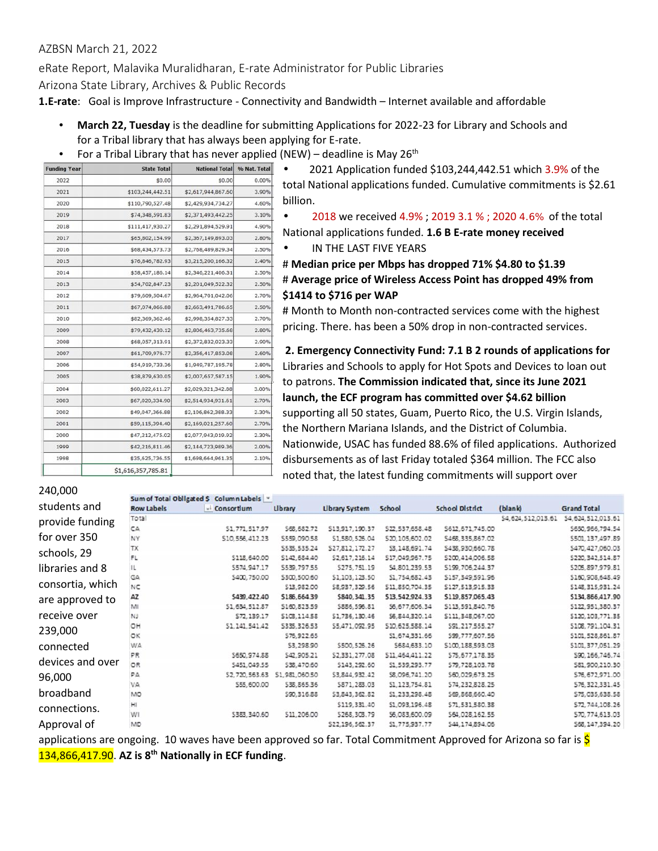## **AZBSN March 21, 2022**

**eRate Report, Malavika Muralidharan, E-rate Administrator for Public Libraries**

**Arizona State Library, Archives & Public Records**

**1.E-rate**: Goal is Improve Infrastructure - Connectivity and Bandwidth – Internet available and affordable

- **March 22, Tuesday** is the deadline for submitting Applications for 2022-23 for Library and Schools and for a Tribal library that has always been applying for E-rate.
- For a Tribal Library that has never applied (NEW) deadline is May 26<sup>th</sup>

| <b>Funding Year</b> | <b>State Total</b> | <b>National Total</b> | % Nat. Total |  |
|---------------------|--------------------|-----------------------|--------------|--|
| 2022                | \$0.00             | \$0.00                | 0.00%        |  |
| 2021                | \$103,244,442.51   | \$2,617,944,867.60    | 3.90%        |  |
| 2020                | \$110,790,527.48   | \$2,429,934,734.27    | 4.60%        |  |
| 2019                | \$74,348,591.83    | \$2,371,493,442.25    | 3.10%        |  |
| 2018                | \$111,417,930.27   | \$2,291,894,529.91    | 4.90%        |  |
| 2017                | \$65,802,154.99    | \$2,367,149,893.03    | 2.80%        |  |
| 2016                | \$68,434,573.73    | \$2,768,489,829.34    | 2.50%        |  |
| 2015                | \$76,846,782.93    | \$3,215,200,166.32    | 2.40%        |  |
| 2014                | \$58,457,186.14    | \$2,346,221,406.31    | 2.50%        |  |
| 2013                | \$54,702,847.23    | \$2,201,049,522.32    | 2.50%        |  |
| 2012                | \$79,609,504.67    | \$2,964,701,042.06    | 2.70%        |  |
| 2011                | \$67,074,066.88    | \$2,663,491,786.65    | 2.50%        |  |
| 2010                | \$82,369,362.46    | \$2,998,354,827.33    | 2.70%        |  |
| 2009                | \$79,432,430.12    | \$2,806,463,735.68    | 2.80%        |  |
| 2008                | \$68,057,313.91    | \$2,372,832,023.33    | 2.90%        |  |
| 2007                | \$61,709,976.77    | \$2,356,417,853.08    | 2.60%        |  |
| 2006                | \$54,919,733.36    | \$1,949,787,195.78    | 2.80%        |  |
| 2005                | \$38,879,630.05    | \$2,007,657,587.15    | 1.90%        |  |
| 2004                | \$60,022,611.27    | \$2,029,321,342.88    | 3.00%        |  |
| 2003                | \$67,020,334.90    | \$2,514,934,931.61    | 2.70%        |  |
| 2002                | \$49,047,366.88    | \$2,106,862,388.33    | 2.30%        |  |
| 2001                | \$59,115,394.40    | \$2,169,021,257.60    | 2.70%        |  |
| 2000                | \$47,212,475.02    | \$2,077,943,019.92    | 2.30%        |  |
| 1999                | \$42,216,811.46    | \$2,144,723,989.36    | 2.00%        |  |
| 1998                | \$35,625,736.55    | \$1,698,664,961.35    | 2.10%        |  |
|                     | \$1,616,357,785.81 |                       |              |  |

 2021 Application funded \$103,244,442.51 which 3.9% of the total National applications funded. Cumulative commitments is \$2.61 billion.

 2018 we received 4.9% ; 2019 3.1 % ; 2020 4.6% of the total National applications funded. **1.6 B E-rate money received** IN THE LAST FIVE YEARS

# **Median price per Mbps has dropped 71% \$4.80 to \$1.39** # **Average price of Wireless Access Point has dropped 49% from \$1414 to \$716 per WAP**

# Month to Month non-contracted services come with the highest pricing. There. has been a 50% drop in non-contracted services.

**2. Emergency Connectivity Fund: 7.1 B 2 rounds of applications for** Libraries and Schools to apply for Hot Spots and Devices to loan out to patrons. **The Commission indicated that, since its June 2021 launch, the ECF program has committed over \$4.62 billion** supporting all 50 states, Guam, Puerto Rico, the U.S. Virgin Islands, the Northern Mariana Islands, and the District of Columbia. Nationwide, USAC has funded 88.6% of filed applications. Authorized disbursements as of last Friday totaled \$364 million. The FCC also noted that, the latest funding commitments will support over

| 240,000          |                   | Sum of Total Obligated \$ Column Labels v |                |                       |                 |                        |                    |                                            |
|------------------|-------------------|-------------------------------------------|----------------|-----------------------|-----------------|------------------------|--------------------|--------------------------------------------|
| students and     | <b>Row Labels</b> | - Consortium                              | Library        | <b>Library System</b> | School          | <b>School District</b> | (blank)            | <b>Grand Total</b>                         |
| provide funding  | Total             |                                           |                |                       |                 |                        | \$4,624,512,013.61 | \$4,624,512,013.61                         |
|                  | CA                | \$1,771,517.97                            | \$68,682.72    | \$13,917,190.37       | \$22,537,658.48 | \$612,671,745.00       |                    | \$650,966,794.54                           |
| for over 350     | NY                | \$10,556,412.23                           | \$559,090.58   | \$1,580,526.04        | \$20,105,602.02 | \$468,335,867.02       |                    | \$501,137,497.89                           |
| schools, 29      | <b>TX</b>         |                                           | \$535,535.24   | \$27,812,172.27       | \$3,148,691.74  | \$438,930,660.78       |                    | \$470,427,060.03                           |
|                  | FL                | \$118,640.00                              | \$142,684.40   | \$2,617,216.14        | \$17,049,967.75 | \$200,414,006.58       |                    | \$220, 342, 514.87                         |
| libraries and 8  | 11                | \$574,947.17                              | \$539,797.55   | \$275,751.19          | \$4,801,239.53  | \$199,705,244.37       |                    | \$205,897,979.81                           |
|                  | GA                | \$400,750.00                              | \$300,500.60   | \$1,103,123.50        | \$1,754,682.43  | \$157,349,591.96       |                    | \$160,908,648.49                           |
| consortia, which | NC                |                                           | \$13,982.00    | \$8,937,329.56        | \$11,850,704.35 | \$127,513,915.33       |                    | \$148,315,931.24                           |
| are approved to  | AZ                | \$439,422.40                              | \$186,664.39   | \$840, 341.35         | \$13,542,924.33 | \$119,857,065.43       |                    | \$134,866,417.90                           |
|                  | M                 | \$1,634,512.87                            | \$160,823.59   | \$886,596.81          | \$6,677,606.34  | \$113,591,840.76       |                    | \$122,951,380.37                           |
| receive over     | NJ                | S72.139.17                                | \$103,114.58   | \$1,736,130.46        | \$6,844,320.14  | \$111,348,067.00       |                    | \$120,103,771.35                           |
| 239,000          | OH                | \$1,141,541.42                            | \$335,326.53   | \$5,471,092.95        | \$10,625,588.14 | \$91,217,555.27        |                    | \$108,791,104.31                           |
|                  | OK                |                                           | \$76,922.65    |                       | 51,674,331.66   | \$99,777,607.56        |                    | \$101,528,861.87                           |
| connected        | WA.               |                                           | \$3,298.90     | \$500,526.26          | \$684,633.10    | \$100,188,593.03       |                    | \$101,377,051.29                           |
| devices and over | PR                | \$650,974.88                              | \$42,905.21    | \$2,331,277.08        | \$11,464,411.22 | \$75,677,178.35        |                    | \$90,166,746.74                            |
|                  | OR.               | \$451,049.55                              | \$38,470.60    | \$143,292.60          | \$1,539,293.77  | 579, 728, 103.78       |                    | \$81,900,210.30                            |
| 96,000           | PA                | \$2,720,563.63                            | \$1,981,060.50 | \$3,844,932.42        | \$8,096,741.20  | \$60,029,673.25        |                    | \$76,672,971.00                            |
|                  | VA                | \$55,600.00                               | \$38,865.36    | \$871,283.03          | \$1,123,754.81  | \$74,232,828.25        |                    | \$76,322,331.45                            |
| broadband        | MO                |                                           | \$90,316.88    | \$3,843,362.82        | \$1,233,298.48  | \$69,868,660.40        |                    | \$75,035,638.58                            |
| connections.     | HI                |                                           |                | \$119,331.40          | \$1,093,196.48  | \$71,531,580.38        |                    | \$72,744,108.26                            |
|                  | WI                | \$383,340.60                              | \$11,206.00    | \$268,308.79          | \$6,083,600.09  | \$64,028,162.55        |                    | \$70,774,613.03                            |
| Approval of      | MD                |                                           |                | \$22,196,562.37       | \$1,775,937.77  | \$44,174,894.06        |                    | S68,147,394.20<br><b>Contract Contract</b> |

applications are ongoing. 10 waves have been approved so far. Total Commitment Approved for Arizona so far is S 134,866,417.90. **AZ is 8th Nationally in ECF funding**.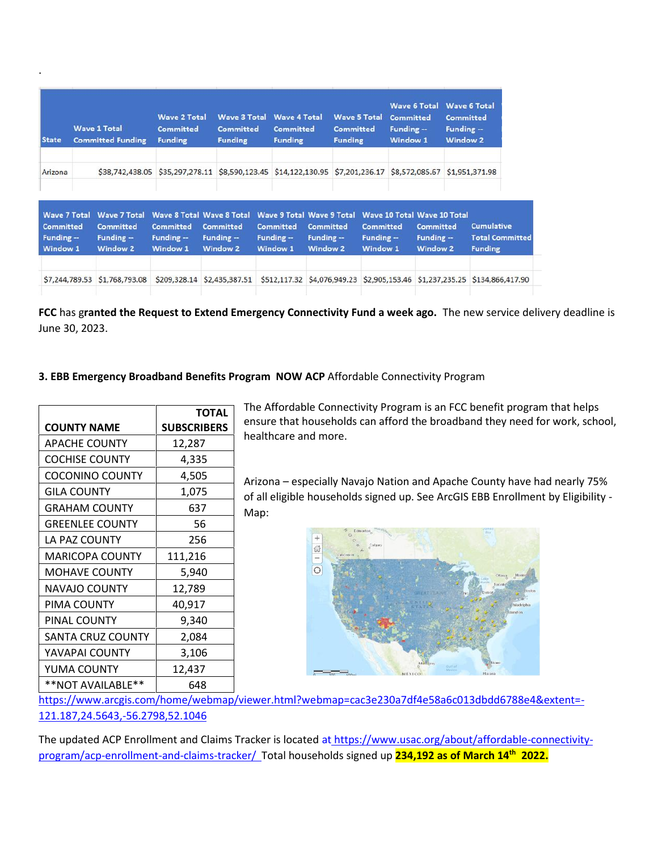| <b>State</b>                                                              |                | <b>Wave 1 Total</b><br><b>Committed Funding</b>                         | <b>Wave 2 Total</b><br><b>Committed</b><br><b>Funding</b>                              | <b>Funding</b>                                    | <b>Wave 3 Total</b><br><b>Wave 4 Total</b><br><b>Wave 5 Total</b><br><b>Committed</b><br><b>Committed</b><br><b>Committed</b><br><b>Funding</b><br><b>Funding</b> |                                                                                      |                                                   | <b>Wave 6 Total</b><br><b>Committed</b><br>Funding $-$<br><b>Window 1</b> |                                             | <b>Committed</b><br>Funding $-$<br><b>Window 2</b> | <b>Wave 6 Total</b>                                                                      |  |                                                               |
|---------------------------------------------------------------------------|----------------|-------------------------------------------------------------------------|----------------------------------------------------------------------------------------|---------------------------------------------------|-------------------------------------------------------------------------------------------------------------------------------------------------------------------|--------------------------------------------------------------------------------------|---------------------------------------------------|---------------------------------------------------------------------------|---------------------------------------------|----------------------------------------------------|------------------------------------------------------------------------------------------|--|---------------------------------------------------------------|
| Arizona                                                                   |                | \$38,742,438.05                                                         | \$35,297,278.11                                                                        | \$8,590,123.45 \$14,122,130.95 \$7,201,236.17     |                                                                                                                                                                   |                                                                                      |                                                   |                                                                           |                                             |                                                    | \$8,572,085.67                                                                           |  | \$1,951,371.98                                                |
| <b>Wave 7 Total</b><br><b>Committed</b><br>Funding $-$<br><b>Window 1</b> |                | <b>Wave 7 Total</b><br><b>Committed</b><br>Funding -<br><b>Window 2</b> | <b>Wave 8 Total Wave 8 Total</b><br><b>Committed</b><br>Funding $-$<br><b>Window 1</b> | <b>Committed</b><br>Funding --<br><b>Window 2</b> |                                                                                                                                                                   | <b>Wave 9 Total Wave 9 Total</b><br><b>Committed</b><br>Funding -<br><b>Window 1</b> | <b>Committed</b><br>Funding --<br><b>Window 2</b> |                                                                           | <b>Committed</b><br>Funding $-$<br>Window 1 |                                                    | <b>Wave 10 Total Wave 10 Total</b><br><b>Committed</b><br>Funding $-$<br><b>Window 2</b> |  | <b>Cumulative</b><br><b>Total Committer</b><br><b>Funding</b> |
|                                                                           | \$7,244,789.53 | \$1,768,793.08                                                          | \$209,328.14                                                                           | \$2,435,387.51                                    |                                                                                                                                                                   | \$512,117.32 \$4,076,949.23 \$2,905,153.46                                           |                                                   |                                                                           |                                             |                                                    | \$1,237,235.25                                                                           |  | \$134,866,417.90                                              |

**FCC** has g**ranted the Request to Extend Emergency Connectivity Fund a week ago.** The new service delivery deadline is June 30, 2023.

## **3. EBB Emergency Broadband Benefits Program NOW ACP** Affordable Connectivity Program

|                        | TOTAL              |
|------------------------|--------------------|
| <b>COUNTY NAME</b>     | <b>SUBSCRIBERS</b> |
| <b>APACHE COUNTY</b>   | 12,287             |
| <b>COCHISE COUNTY</b>  | 4,335              |
| <b>COCONINO COUNTY</b> | 4,505              |
| <b>GILA COUNTY</b>     | 1,075              |
| <b>GRAHAM COUNTY</b>   | 637                |
| <b>GREENLEE COUNTY</b> | 56                 |
| LA PAZ COUNTY          | 256                |
| MARICOPA COUNTY        | 111,216            |
| <b>MOHAVE COUNTY</b>   | 5,940              |
| <b>NAVAJO COUNTY</b>   | 12,789             |
| PIMA COUNTY            | 40,917             |
| PINAL COUNTY           | 9,340              |
| SANTA CRUZ COUNTY      | 2,084              |
| YAVAPAI COUNTY         | 3,106              |
| YUMA COUNTY            | 12,437             |
| **NOT AVAILABLE**      | 648                |

.

**TOTAL** The Affordable Connectivity Program is an FCC benefit program that helps **SUBSCRIBERS** ensure that households can afford the broadband they need for work, school, healthcare and more.

> Arizona – especially Navajo Nation and Apache County have had nearly 75% of all eligible households signed up. See ArcGIS EBB Enrollment by Eligibility - Map:



https://www.arcgis.com/home/webmap/viewer.html?webmap=cac3e230a7df4e58a6c013dbdd6788e4&extent=- 121.187,24.5643,-56.2798,52.1046

The updated ACP Enrollment and Claims Tracker is located at https://www.usac.org/about/affordable-connectivityprogram/acp-enrollment-and-claims-tracker/ Total households signed up **234,192 as of March 14th 2022.**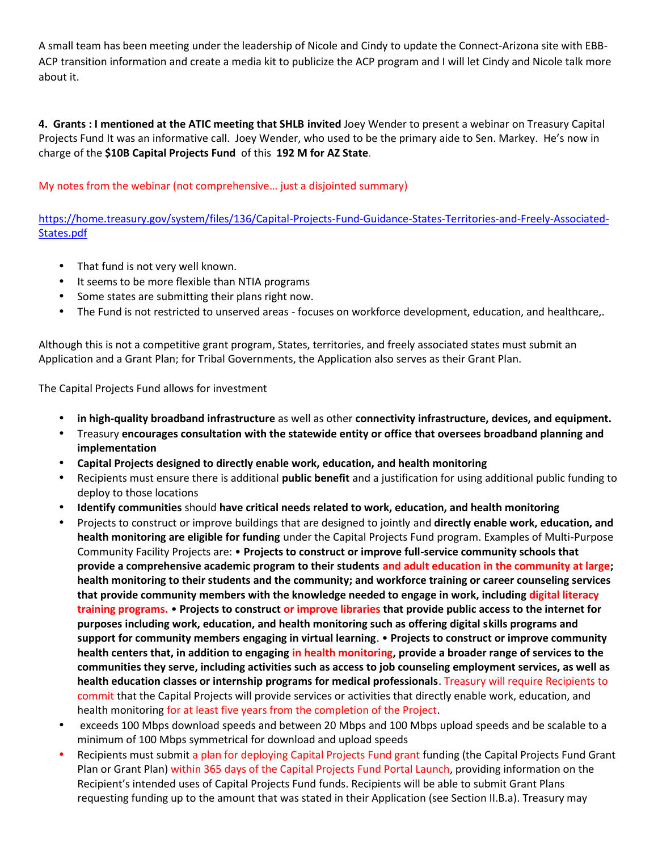A small team has been meeting under the leadership of Nicole and Cindy to update the Connect-Arizona site with EBB- ACP transition information and create a media kit to publicize the ACP program and I will let Cindy and Nicole talk more about it.

**4. Grants : I mentioned at the ATIC meeting that SHLB invited** Joey Wender to present a webinar on Treasury Capital Projects Fund It was an informative call. Joey Wender, who used to be the primary aide to Sen. Markey. He's now in charge of the **\$10B Capital Projects Fund** of this **192 M for AZ State**.

My notes from the webinar (not comprehensive… just a disjointed summary)

https://home.treasury.gov/system/files/136/Capital-Projects-Fund-Guidance-States-Territories-and-Freely-Associated- States.pdf

- That fund is not very well known.
- It seems to be more flexible than NTIA programs
- Some states are submitting their plans right now.
- The Fund is not restricted to unserved areas -focuses on workforce development, education, and healthcare,.

Although this is not a competitive grant program, States, territories, and freely associated states must submit an Application and a Grant Plan; for Tribal Governments, the Application also serves as their Grant Plan.

The Capital Projects Fund allows for investment

- **in high-quality broadband infrastructure** as well as other **connectivity infrastructure, devices, and equipment.**
- Treasury **encourages consultation with the statewide entity or office that oversees broadband planning and implementation**
- **Capital Projects designed to directly enable work, education, and health monitoring**
- Recipients must ensure there is additional **public benefit** and a justification for using additional public funding to deploy to those locations
- **Identify communities** should **have critical needs related to work, education, and health monitoring**
- Projects to construct or improve buildings that are designed to jointly and **directly enable work, education, and health monitoring are eligible for funding** under the Capital Projects Fund program. Examples of Multi-Purpose Community Facility Projects are: • **Projects to construct or improve full-service community schools that provide a comprehensive academic program to their students and adult education in the community at large; health monitoring to their students and the community; and workforce training or career counseling services that provide community members with the knowledge needed to engage in work, including digital literacy training programs.** • **Projects to construct or improve libraries that provide public access to the internet for purposes including work, education, and health monitoring such as offering digital skills programs and support for community members engaging in virtual learning**. • **Projects to construct or improve community health centers that, in addition to engaging in health monitoring, provide a broader range of services to the communities they serve, including activities such as access to job counseling employment services, as well as health education classes or internship programs for medical professionals**. Treasury will require Recipients to commit that the Capital Projects will provide services or activities that directly enable work, education, and health monitoring for at least five years from the completion of the Project.
- exceeds 100 Mbps download speeds and between 20 Mbps and 100 Mbps upload speeds and be scalable to a minimum of 100 Mbps symmetrical for download and upload speeds
- Recipients must submit a plan for deploying Capital Projects Fund grant funding (the Capital Projects Fund Grant Plan or Grant Plan) within 365 days of the Capital Projects Fund Portal Launch, providing information on the Recipient's intended uses of Capital Projects Fund funds. Recipients will be able to submit Grant Plans requesting funding up to the amount that was stated in their Application (see Section II.B.a). Treasury may